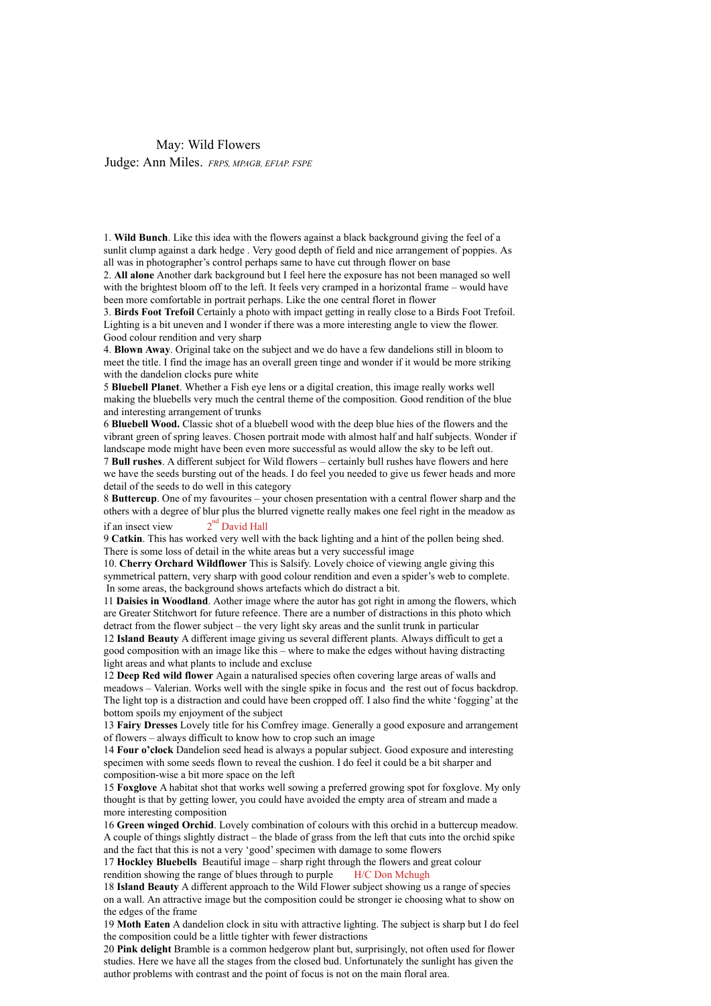## May: Wild Flowers

Judge: Ann Miles. *FRPS, MPAGB, EFIAP. FSPE*

1. **Wild Bunch**. Like this idea with the flowers against a black background giving the feel of a sunlit clump against a dark hedge . Very good depth of field and nice arrangement of poppies. As all was in photographer's control perhaps same to have cut through flower on base

2. **All alone** Another dark background but I feel here the exposure has not been managed so well with the brightest bloom off to the left. It feels very cramped in a horizontal frame – would have been more comfortable in portrait perhaps. Like the one central floret in flower

3. **Birds Foot Trefoil** Certainly a photo with impact getting in really close to a Birds Foot Trefoil. Lighting is a bit uneven and I wonder if there was a more interesting angle to view the flower. Good colour rendition and very sharp

4. **Blown Away**. Original take on the subject and we do have a few dandelions still in bloom to meet the title. I find the image has an overall green tinge and wonder if it would be more striking with the dandelion clocks pure white

5 **Bluebell Planet**. Whether a Fish eye lens or a digital creation, this image really works well making the bluebells very much the central theme of the composition. Good rendition of the blue and interesting arrangement of trunks

6 **Bluebell Wood.** Classic shot of a bluebell wood with the deep blue hies of the flowers and the vibrant green of spring leaves. Chosen portrait mode with almost half and half subjects. Wonder if landscape mode might have been even more successful as would allow the sky to be left out.

7 **Bull rushes**. A different subject for Wild flowers – certainly bull rushes have flowers and here we have the seeds bursting out of the heads. I do feel you needed to give us fewer heads and more detail of the seeds to do well in this category

8 **Buttercup**. One of my favourites – your chosen presentation with a central flower sharp and the others with a degree of blur plus the blurred vignette really makes one feel right in the meadow as if an insect view  $2<sup>nd</sup>$  David Hall

9 **Catkin**. This has worked very well with the back lighting and a hint of the pollen being shed. There is some loss of detail in the white areas but a very successful image

10. **Cherry Orchard Wildflower** This is Salsify. Lovely choice of viewing angle giving this symmetrical pattern, very sharp with good colour rendition and even a spider's web to complete. In some areas, the background shows artefacts which do distract a bit.

11 **Daisies in Woodland**. Aother image where the autor has got right in among the flowers, which are Greater Stitchwort for future refeence. There are a number of distractions in this photo which detract from the flower subject – the very light sky areas and the sunlit trunk in particular

12 **Island Beauty** A different image giving us several different plants. Always difficult to get a good composition with an image like this – where to make the edges without having distracting light areas and what plants to include and excluse

12 **Deep Red wild flower** Again a naturalised species often covering large areas of walls and meadows – Valerian. Works well with the single spike in focus and the rest out of focus backdrop. The light top is a distraction and could have been cropped off. I also find the white 'fogging' at the bottom spoils my enjoyment of the subject

13 **Fairy Dresses** Lovely title for his Comfrey image. Generally a good exposure and arrangement of flowers – always difficult to know how to crop such an image

14 **Four o'clock** Dandelion seed head is always a popular subject. Good exposure and interesting specimen with some seeds flown to reveal the cushion. I do feel it could be a bit sharper and composition-wise a bit more space on the left

15 **Foxglove** A habitat shot that works well sowing a preferred growing spot for foxglove. My only thought is that by getting lower, you could have avoided the empty area of stream and made a more interesting composition

16 **Green winged Orchid**. Lovely combination of colours with this orchid in a buttercup meadow. A couple of things slightly distract – the blade of grass from the left that cuts into the orchid spike and the fact that this is not a very 'good' specimen with damage to some flowers

17 **Hockley Bluebells** Beautiful image – sharp right through the flowers and great colour rendition showing the range of blues through to purple H/C Don Mchugh

18 **Island Beauty** A different approach to the Wild Flower subject showing us a range of species on a wall. An attractive image but the composition could be stronger ie choosing what to show on the edges of the frame

19 **Moth Eaten** A dandelion clock in situ with attractive lighting. The subject is sharp but I do feel the composition could be a little tighter with fewer distractions

20 **Pink delight** Bramble is a common hedgerow plant but, surprisingly, not often used for flower studies. Here we have all the stages from the closed bud. Unfortunately the sunlight has given the author problems with contrast and the point of focus is not on the main floral area.